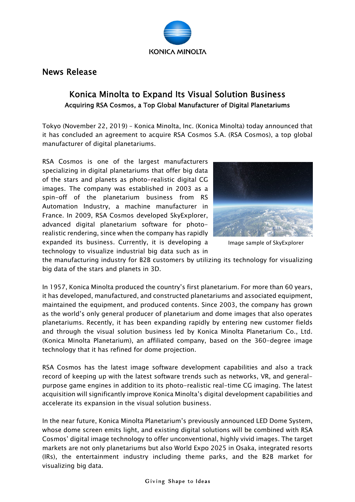

## News Release

## Konica Minolta to Expand Its Visual Solution Business Acquiring RSA Cosmos, a Top Global Manufacturer of Digital Planetariums

Tokyo (November 22, 2019) – Konica Minolta, Inc. (Konica Minolta) today announced that it has concluded an agreement to acquire RSA Cosmos S.A. (RSA Cosmos), a top global manufacturer of digital planetariums.

RSA Cosmos is one of the largest manufacturers specializing in digital planetariums that offer big data of the stars and planets as photo-realistic digital CG images. The company was established in 2003 as a spin-off of the planetarium business from RS Automation Industry, a machine manufacturer in France. In 2009, RSA Cosmos developed SkyExplorer, advanced digital planetarium software for photorealistic rendering, since when the company has rapidly expanded its business. Currently, it is developing a technology to visualize industrial big data such as in



Image sample of SkyExplorer

the manufacturing industry for B2B customers by utilizing its technology for visualizing big data of the stars and planets in 3D.

In 1957, Konica Minolta produced the country's first planetarium. For more than 60 years, it has developed, manufactured, and constructed planetariums and associated equipment, maintained the equipment, and produced contents. Since 2003, the company has grown as the world's only general producer of planetarium and dome images that also operates planetariums. Recently, it has been expanding rapidly by entering new customer fields and through the visual solution business led by Konica Minolta Planetarium Co., Ltd. (Konica Minolta Planetarium), an affiliated company, based on the 360-degree image technology that it has refined for dome projection.

RSA Cosmos has the latest image software development capabilities and also a track record of keeping up with the latest software trends such as networks, VR, and generalpurpose game engines in addition to its photo-realistic real-time CG imaging. The latest acquisition will significantly improve Konica Minolta's digital development capabilities and accelerate its expansion in the visual solution business.

In the near future, Konica Minolta Planetarium's previously announced LED Dome System, whose dome screen emits light, and existing digital solutions will be combined with RSA Cosmos' digital image technology to offer unconventional, highly vivid images. The target markets are not only planetariums but also World Expo 2025 in Osaka, integrated resorts (IRs), the entertainment industry including theme parks, and the B2B market for visualizing big data.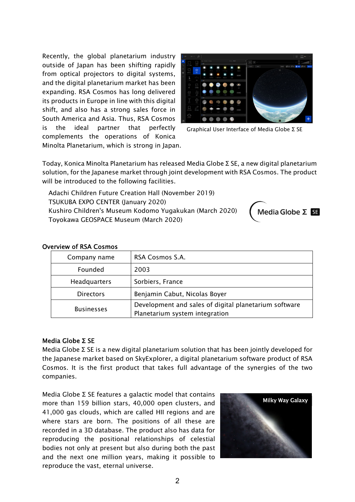Recently, the global planetarium industry outside of Japan has been shifting rapidly from optical projectors to digital systems, and the digital planetarium market has been expanding. RSA Cosmos has long delivered its products in Europe in line with this digital shift, and also has a strong sales force in South America and Asia. Thus, RSA Cosmos is the ideal partner that perfectly complements the operations of Konica Minolta Planetarium, which is strong in Japan.



Graphical User Interface of Media Globe Σ SE

Today, Konica Minolta Planetarium has released Media Globe Σ SE, a new digital planetarium solution, for the Japanese market through joint development with RSA Cosmos. The product will be introduced to the following facilities.

Adachi Children Future Creation Hall (November 2019) TSUKUBA EXPO CENTER (January 2020) Kushiro Children's Museum Kodomo Yugakukan (March 2020) Toyokawa GEOSPACE Museum (March 2020)



## Overview of RSA Cosmos

| Company name        | RSA Cosmos S.A.                                                                         |
|---------------------|-----------------------------------------------------------------------------------------|
| Founded             | 2003                                                                                    |
| <b>Headquarters</b> | Sorbiers, France                                                                        |
| <b>Directors</b>    | Benjamin Cabut, Nicolas Boyer                                                           |
| <b>Businesses</b>   | Development and sales of digital planetarium software<br>Planetarium system integration |

## Media Globe Σ SE

Media Globe Σ SE is a new digital planetarium solution that has been jointly developed for the Japanese market based on SkyExplorer, a digital planetarium software product of RSA Cosmos. It is the first product that takes full advantage of the synergies of the two companies.

Media Globe Σ SE features a galactic model that contains more than 159 billion stars, 40,000 open clusters, and 41,000 gas clouds, which are called HII regions and are where stars are born. The positions of all these are recorded in a 3D database. The product also has data for reproducing the positional relationships of celestial bodies not only at present but also during both the past and the next one million years, making it possible to reproduce the vast, eternal universe.